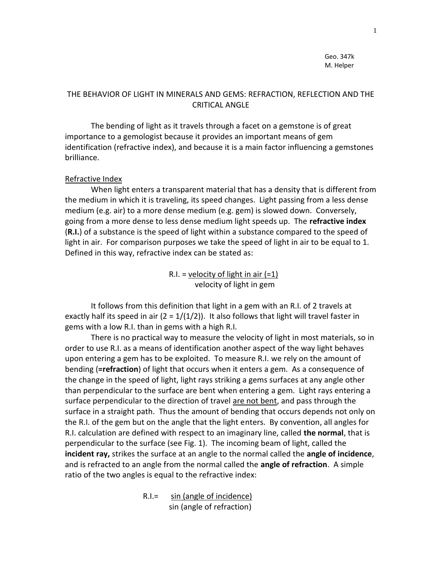Geo. 347k M. Helper

## THE BEHAVIOR OF LIGHT IN MINERALS AND GEMS: REFRACTION, REFLECTION AND THE CRITICAL ANGLE

 The bending of light as it travels through a facet on a gemstone is of great importance to a gemologist because it provides an important means of gem identification (refractive index), and because it is a main factor influencing a gemstones brilliance.

### Refractive Index

 When light enters a transparent material that has a density that is different from the medium in which it is traveling, its speed changes. Light passing from a less dense medium (e.g. air) to a more dense medium (e.g. gem) is slowed down. Conversely, going from a more dense to less dense medium light speeds up. The **refractive index** (**R.I.**) of a substance is the speed of light within a substance compared to the speed of light in air. For comparison purposes we take the speed of light in air to be equal to 1. Defined in this way, refractive index can be stated as:

> R.I. = velocity of light in air  $(=1)$ velocity of light in gem

 It follows from this definition that light in a gem with an R.I. of 2 travels at exactly half its speed in air ( $2 = 1/(1/2)$ ). It also follows that light will travel faster in gems with a low R.I. than in gems with a high R.I.

 There is no practical way to measure the velocity of light in most materials, so in order to use R.I. as a means of identification another aspect of the way light behaves upon entering a gem has to be exploited. To measure R.I. we rely on the amount of bending (**=refraction**) of light that occurs when it enters a gem. As a consequence of the change in the speed of light, light rays striking a gems surfaces at any angle other than perpendicular to the surface are bent when entering a gem. Light rays entering a surface perpendicular to the direction of travel are not bent, and pass through the surface in a straight path. Thus the amount of bending that occurs depends not only on the R.I. of the gem but on the angle that the light enters. By convention, all angles for R.I. calculation are defined with respect to an imaginary line, called **the normal**, that is perpendicular to the surface (see Fig. 1). The incoming beam of light, called the **incident ray,** strikes the surface at an angle to the normal called the **angle of incidence**, and is refracted to an angle from the normal called the **angle of refraction**. A simple ratio of the two angles is equal to the refractive index:

> R.I.= sin (angle of incidence) sin (angle of refraction)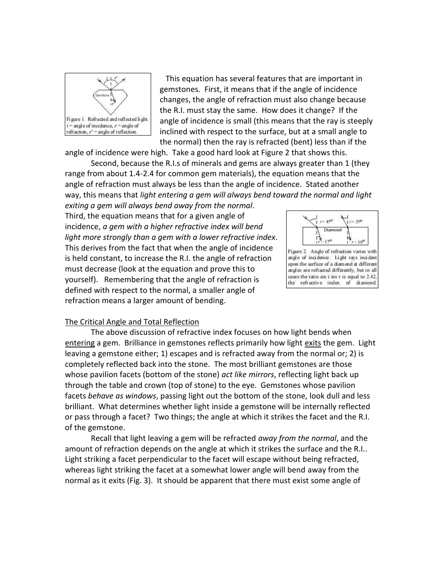

This equation has several features that are important in gemstones. First, it means that if the angle of incidence changes, the angle of refraction must also change because the R.I. must stay the same. How does it change? If the angle of incidence is small (this means that the ray is steeply inclined with respect to the surface, but at a small angle to the normal) then the ray is refracted (bent) less than if the

angle of incidence were high. Take a good hard look at Figure 2 that shows this.

Second, because the R.I.s of minerals and gems are always greater than 1 (they range from about 1.4-2.4 for common gem materials), the equation means that the angle of refraction must always be less than the angle of incidence. Stated another way, this means that *light entering a gem will always bend toward the normal and light* 

*exiting a gem will always bend away from the normal*. Third, the equation means that for a given angle of incidence, *a gem with a higher refractive index will bend light more strongly than a gem with a lower refractive index*. This derives from the fact that when the angle of incidence is held constant, to increase the R.I. the angle of refraction must decrease (look at the equation and prove this to yourself). Remembering that the angle of refraction is defined with respect to the normal, a smaller angle of refraction means a larger amount of bending.



Figure 2. Angle of refraction varies with angle of incidence. Light rays incident upon the surface of a diamond at different angles are refracted differently, but in all cases the ratio sin i sin r is equal to 2.42, the refractive index of diamond.

### The Critical Angle and Total Reflection

 The above discussion of refractive index focuses on how light bends when entering a gem. Brilliance in gemstones reflects primarily how light exits the gem. Light leaving a gemstone either; 1) escapes and is refracted away from the normal or; 2) is completely reflected back into the stone. The most brilliant gemstones are those whose pavilion facets (bottom of the stone) *act like mirrors*, reflecting light back up through the table and crown (top of stone) to the eye. Gemstones whose pavilion facets *behave as windows*, passing light out the bottom of the stone, look dull and less brilliant. What determines whether light inside a gemstone will be internally reflected or pass through a facet? Two things; the angle at which it strikes the facet and the R.I. of the gemstone.

 Recall that light leaving a gem will be refracted *away from the normal*, and the amount of refraction depends on the angle at which it strikes the surface and the R.I.. Light striking a facet perpendicular to the facet will escape without being refracted, whereas light striking the facet at a somewhat lower angle will bend away from the normal as it exits (Fig. 3). It should be apparent that there must exist some angle of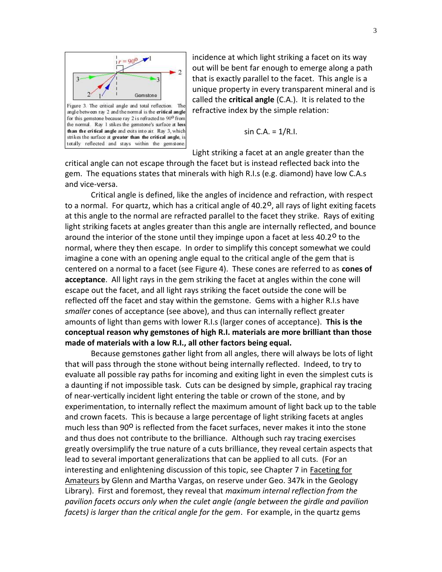

for this gemstone because ray 2 is refracted to 90<sup>0</sup> from the normal. Ray 1 stikes the gemstone's surface at less than the critical angle and exits into air. Ray 3, which strikes the surface at greater than the critical angle, is totally reflected and stays within the gemstone.

incidence at which light striking a facet on its way out will be bent far enough to emerge along a path that is exactly parallel to the facet. This angle is a unique property in every transparent mineral and is called the **critical angle** (C.A.). It is related to the refractive index by the simple relation:

$$
\sin C.A. = 1/R.I.
$$

Light striking a facet at an angle greater than the

critical angle can not escape through the facet but is instead reflected back into the gem. The equations states that minerals with high R.I.s (e.g. diamond) have low C.A.s and vice-versa.

 Critical angle is defined, like the angles of incidence and refraction, with respect to a normal. For quartz, which has a critical angle of 40.2<sup>0</sup>, all rays of light exiting facets at this angle to the normal are refracted parallel to the facet they strike. Rays of exiting light striking facets at angles greater than this angle are internally reflected, and bounce around the interior of the stone until they impinge upon a facet at less 40.2<sup>0</sup> to the normal, where they then escape. In order to simplify this concept somewhat we could imagine a cone with an opening angle equal to the critical angle of the gem that is centered on a normal to a facet (see Figure 4). These cones are referred to as **cones of acceptance**. All light rays in the gem striking the facet at angles within the cone will escape out the facet, and all light rays striking the facet outside the cone will be reflected off the facet and stay within the gemstone. Gems with a higher R.I.s have *smaller* cones of acceptance (see above), and thus can internally reflect greater amounts of light than gems with lower R.I.s (larger cones of acceptance). **This is the conceptual reason why gemstones of high R.I. materials are more brilliant than those made of materials with a low R.I., all other factors being equal.**

 Because gemstones gather light from all angles, there will always be lots of light that will pass through the stone without being internally reflected. Indeed, to try to evaluate all possible ray paths for incoming and exiting light in even the simplest cuts is a daunting if not impossible task. Cuts can be designed by simple, graphical ray tracing of near-vertically incident light entering the table or crown of the stone, and by experimentation, to internally reflect the maximum amount of light back up to the table and crown facets. This is because a large percentage of light striking facets at angles much less than  $90^{\circ}$  is reflected from the facet surfaces, never makes it into the stone and thus does not contribute to the brilliance. Although such ray tracing exercises greatly oversimplify the true nature of a cuts brilliance, they reveal certain aspects that lead to several important generalizations that can be applied to all cuts. (For an interesting and enlightening discussion of this topic, see Chapter 7 in Faceting for Amateurs by Glenn and Martha Vargas, on reserve under Geo. 347k in the Geology Library). First and foremost, they reveal that *maximum internal reflection from the pavilion facets occurs only when the culet angle (angle between the girdle and pavilion facets) is larger than the critical angle for the gem*. For example, in the quartz gems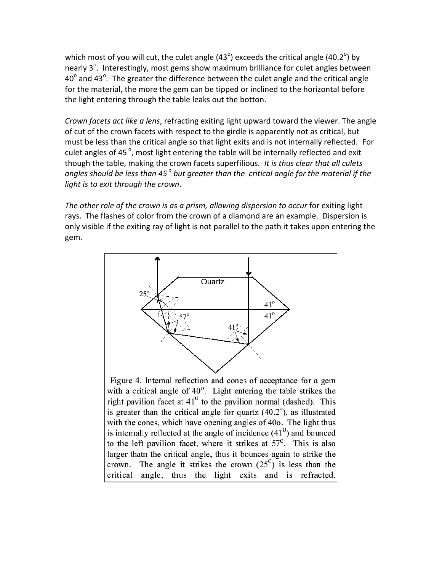which most of you will cut, the culet angle (43<sup>o</sup>) exceeds the critical angle (40.2<sup>o</sup>) by nearly  $3^{\circ}$ . Interestingly, most gems show maximum brilliance for culet angles between 40 $^{\circ}$  and 43 $^{\circ}$ . The greater the difference between the culet angle and the critical angle for the material, the more the gem can be tipped or inclined to the horizontal before the light entering through the table leaks out the botton.

*Crown facets act like a lens*, refracting exiting light upward toward the viewer. The angle of cut of the crown facets with respect to the girdle is apparently not as critical, but must be less than the critical angle so that light exits and is not internally reflected. For culet angles of 45 $^{\circ}$ , most light entering the table will be internally reflected and exit though the table, making the crown facets superfilious. *It is thus clear that all culets angles should be less than 45<sup>o</sup> but greater than the critical angle for the material if the light is to exit through the crown*.

*The other role of the crown is as a prism, allowing dispersion to occur* for exiting light rays. The flashes of color from the crown of a diamond are an example. Dispersion is only visible if the exiting ray of light is not parallel to the path it takes upon entering the gem.

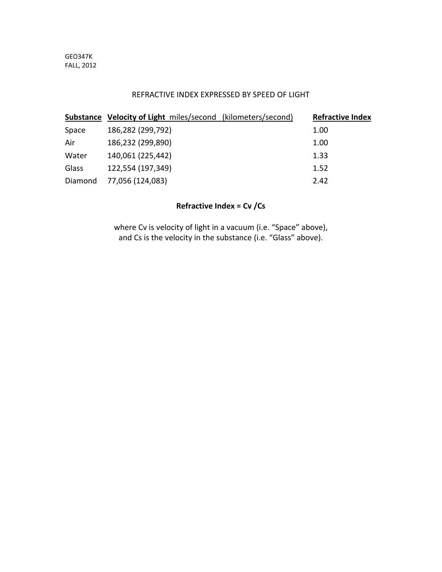## REFRACTIVE INDEX EXPRESSED BY SPEED OF LIGHT

|         | <b>Substance Velocity of Light miles/second (kilometers/second)</b> | <b>Refractive Index</b> |
|---------|---------------------------------------------------------------------|-------------------------|
| Space   | 186,282 (299,792)                                                   | 1.00                    |
| Air     | 186,232 (299,890)                                                   | 1.00                    |
| Water   | 140,061 (225,442)                                                   | 1.33                    |
| Glass   | 122,554 (197,349)                                                   | 1.52                    |
| Diamond | 77,056 (124,083)                                                    | 2.42                    |

# **Refractive Index = Cv /Cs**

where Cv is velocity of light in a vacuum (i.e. "Space" above), and Cs is the velocity in the substance (i.e. "Glass" above).